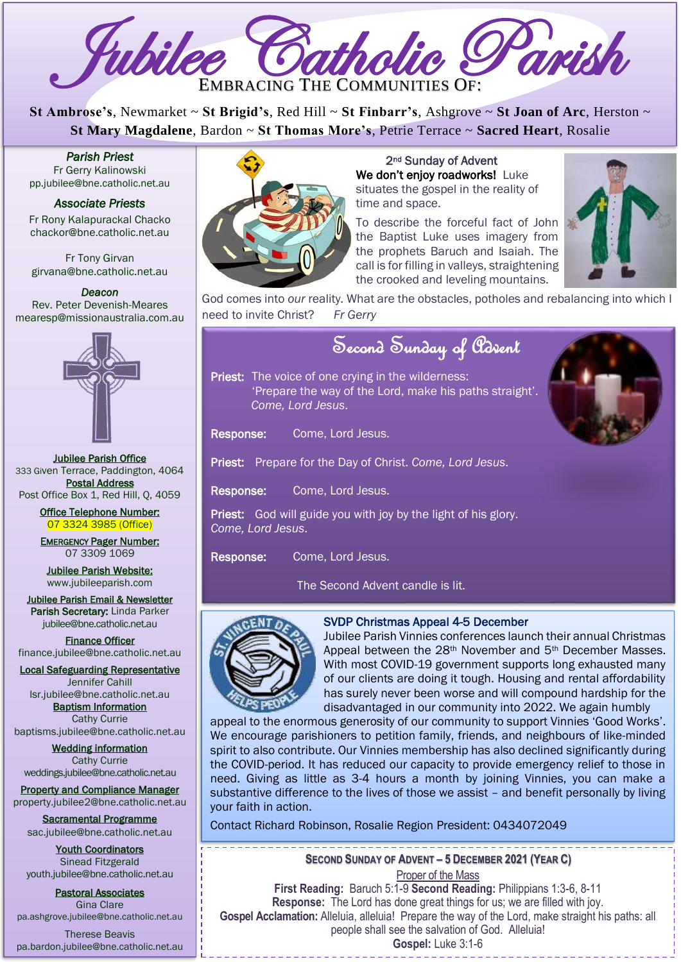

**St Ambrose's**, Newmarket ~ **St Brigid's**, Red Hill ~ **St Finbarr's**, Ashgrove ~ **St Joan of Arc**, Herston ~ **St Mary Magdalene**, Bardon ~ **St Thomas More's**, Petrie Terrace ~ **Sacred Heart**, Rosalie

*Parish Priest*  Fr Gerry Kalinowski [pp.jubilee@bne.catholic.net.au](mailto:pp.jubilee@bne.catholic.net.au)

#### *Associate Priests*

Fr Rony Kalapurackal Chacko chackor@bne.catholic.net.au

Fr Tony Girvan girvana@bne.catholic.net.au

*Deacon*  Rev. Peter Devenish-Meares mearesp@missionaustralia.com.au



Jubilee Parish Office 333 Given Terrace, Paddington, 4064 Postal Address Post Office Box 1, Red Hill, O, 4059

> Office Telephone Number: 07 3324 3985 (Office)

EMERGENCY Pager Number: 07 3309 1069

Jubilee Parish Website: [www.jubileeparish.com](http://www.jubileeparish.com/)

Jubilee Parish Email & Newsletter Parish Secretary: Linda Parker [jubilee@bne.catholic.net.au](mailto:jubilee@bne.catholic.net.au)

Finance Officer [finance.jubilee@bne.catholic.net.au](mailto:finance.jubilee@bne.catholic.net.au)

Local Safeguarding Representative Jennifer Cahill

[lsr.jubilee@bne.catholic.net.au](mailto:lsr.jubilee@bne.catholic.net.au) Baptism Information

Cathy Currie [baptisms.jubilee@bne.catholic.net.au](mailto:baptisms.jubilee@bne.catholic.net.au)

Wedding information Cathy Currie [weddings.jubilee@bne.catholic.net.au](mailto:weddings.jubilee@bne.catholic.net.au)

Property and Compliance Manager property.jubilee2@bne.catholic.net.au

Sacramental Programme [sac.jubilee@bne.catholic.net.au](mailto:sac.jubilee@bne.catholic.net.au)

Youth Coordinators Sinead Fitzgerald [youth.jubilee@bne.catholic.net.au](mailto:youth.jubilee@bne.catholic.net.au)

Pastoral Associates Gina Clare [pa.ashgrove.jubilee@bne.catholic.net.au](mailto:pa.ashgrove.jubilee@bne.catholic.net.au)

Therese Beavis pa.bardon.jubilee@bne.catholic.net.au



2nd Sunday of Advent We don't enjoy roadworks! Luke situates the gospel in the reality of time and space.

To describe the forceful fact of John the Baptist Luke uses imagery from the prophets Baruch and Isaiah. The call is for filling in valleys, straightening the crooked and leveling mountains.



God comes into *our* reality. What are the obstacles, potholes and rebalancing into which I need to invite Christ? *Fr Gerry*

# Second Sunday of Advent

Priest: The voice of one crying in the wilderness: 'Prepare the way of the Lord, make his paths straight'. *Come, Lord Jesus*.

Response: Come, Lord Jesus.

Priest: Prepare for the Day of Christ. *Come, Lord Jesus*.

Response: Come, Lord Jesus.

Priest: God will guide you with joy by the light of his glory. *Come, Lord Jesus*.

Response: Come, Lord Jesus.

The Second Advent candle is lit.



# SVDP Christmas Appeal 4-5 December

Jubilee Parish Vinnies conferences launch their annual Christmas Appeal between the 28<sup>th</sup> November and 5<sup>th</sup> December Masses. With most COVID-19 government supports long exhausted many of our clients are doing it tough. Housing and rental affordability has surely never been worse and will compound hardship for the disadvantaged in our community into 2022. We again humbly

----------------

appeal to the enormous generosity of our community to support Vinnies 'Good Works'. We encourage parishioners to petition family, friends, and neighbours of like-minded spirit to also contribute. Our Vinnies membership has also declined significantly during the COVID-period. It has reduced our capacity to provide emergency relief to those in need. Giving as little as 3-4 hours a month by joining Vinnies, you can make a substantive difference to the lives of those we assist – and benefit personally by living your faith in action.

Contact Richard Robinson, Rosalie Region President: 0434072049

**SECOND SUNDAY OF ADVENT – 5 DECEMBER 2021 (YEAR C)** Proper of the Mass

*Carols on Clyde* **First Reading:** Baruch 5:1-9 **Second Reading:** Philippians 1:3-6, 8-11 **Response:** The Lord has done great things for us; we are filled with joy. **Gospel Acclamation:** Alleluia, alleluia! Prepare the way of the Lord, make straight his paths: all people shall see the salvation of God. Alleluia!

**Gospel:** Luke 3:1-6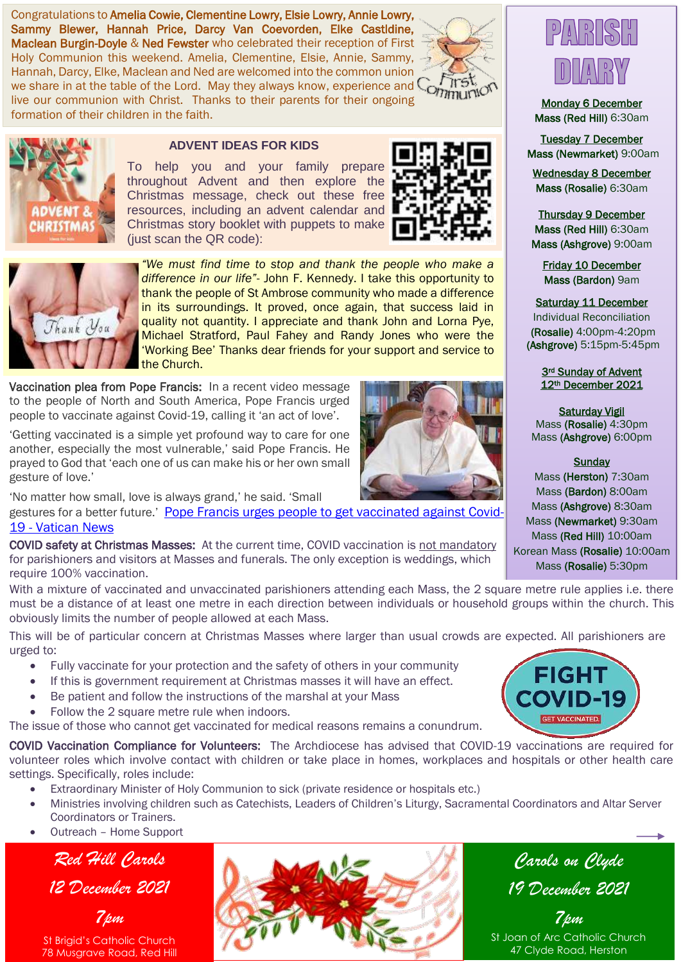Congratulations to Amelia Cowie, Clementine Lowry, Elsie Lowry, Annie Lowry, Sammy Blewer, Hannah Price, Darcy Van Coevorden, Elke Castldine, Maclean Burgin-Doyle & Ned Fewster who celebrated their reception of First Holy Communion this weekend. Amelia, Clementine, Elsie, Annie, Sammy, Hannah, Darcy, Elke, Maclean and Ned are welcomed into the common union Hannan, Darcy, Ene, Macican and Ned als necessity. Respectively, David Text of Text of the share in at the table of the Lord. May they always know, experience and Communication live our communion with Christ. Thanks to their parents for their ongoing formation of their children in the faith.





#### **ADVENT IDEAS FOR KIDS**

To help you and your family prepare throughout Advent and then explore the Christmas message, check out these free resources, including an advent calendar and Christmas story booklet with puppets to make (just scan the QR code):





*"We must find time to stop and thank the people who make a difference in our life"*- John F. Kennedy. I take this opportunity to thank the people of St Ambrose community who made a difference in its surroundings. It proved, once again, that success laid in quality not quantity. I appreciate and thank John and Lorna Pye, Michael Stratford, Paul Fahey and Randy Jones who were the 'Working Bee' Thanks dear friends for your support and service to the Church.

Vaccination plea from Pope Francis: In a recent video message to the people of North and South America, Pope Francis urged people to vaccinate against Covid-19, calling it 'an act of love'.

'Getting vaccinated is a simple yet profound way to care for one another, especially the most vulnerable,' said Pope Francis. He prayed to God that 'each one of us can make his or her own small gesture of love.'

'No matter how small, love is always grand,' he said. 'Small

gestures for a better future.' [Pope Francis urges people to get vaccinated against Covid-](https://www.vaticannews.va/en/pope/news/2021-08/pope-francis-appeal-covid-19-vaccines-act-of-love.html)19 - [Vatican News](https://www.vaticannews.va/en/pope/news/2021-08/pope-francis-appeal-covid-19-vaccines-act-of-love.html)

COVID safety at Christmas Masses: At the current time, COVID vaccination is not mandatory for parishioners and visitors at Masses and funerals. The only exception is weddings, which require 100% vaccination.

With a mixture of vaccinated and unvaccinated parishioners attending each Mass, the 2 square metre rule applies i.e. there must be a distance of at least one metre in each direction between individuals or household groups within the church. This obviously limits the number of people allowed at each Mass.

This will be of particular concern at Christmas Masses where larger than usual crowds are expected. All parishioners are urged to:

- Fully vaccinate for your protection and the safety of others in your community
- If this is government requirement at Christmas masses it will have an effect.
- Be patient and follow the instructions of the marshal at your Mass
- Follow the 2 square metre rule when indoors.

The issue of those who cannot get vaccinated for medical reasons remains a conundrum.

COVID Vaccination Compliance for Volunteers: The Archdiocese has advised that COVID-19 vaccinations are required for volunteer roles which involve contact with children or take place in homes, workplaces and hospitals or other health care settings. Specifically, roles include:

- Extraordinary Minister of Holy Communion to sick (private residence or hospitals etc.)
- Ministries involving children such as Catechists, Leaders of Children's Liturgy, Sacramental Coordinators and Altar Server Coordinators or Trainers.
- Outreach Home Support ٦

*Red Hill Carols*

*12 December 2021*

*7pm*







Monday 6 December Mass (Red Hill) 6:30am

Tuesday 7 December Mass (Newmarket) 9:00am

Wednesday 8 December Mass (Rosalie) 6:30am

Thursday 9 December Mass (Red Hill) 6:30am Mass (Ashgrove) 9:00am

Friday 10 December Mass (Bardon) 9am

#### Saturday 11 December

Individual Reconciliation (Rosalie) 4:00pm-4:20pm (Ashgrove) 5:15pm-5:45pm

> 3rd Sunday of Advent 12th December 2021

Saturday Vigil Mass (Rosalie) 4:30pm Mass (Ashgrove) 6:00pm

#### **Sundav**

Mass (Herston) 7:30am Mass (Bardon) 8:00am Mass (Ashgrove) 8:30am Mass (Newmarket) 9:30am Mass (Red Hill) 10:00am Korean Mass (Rosalie) 10:00am Mass (Rosalie) 5:30pm



*Carols on Clyde 19 December 2021*

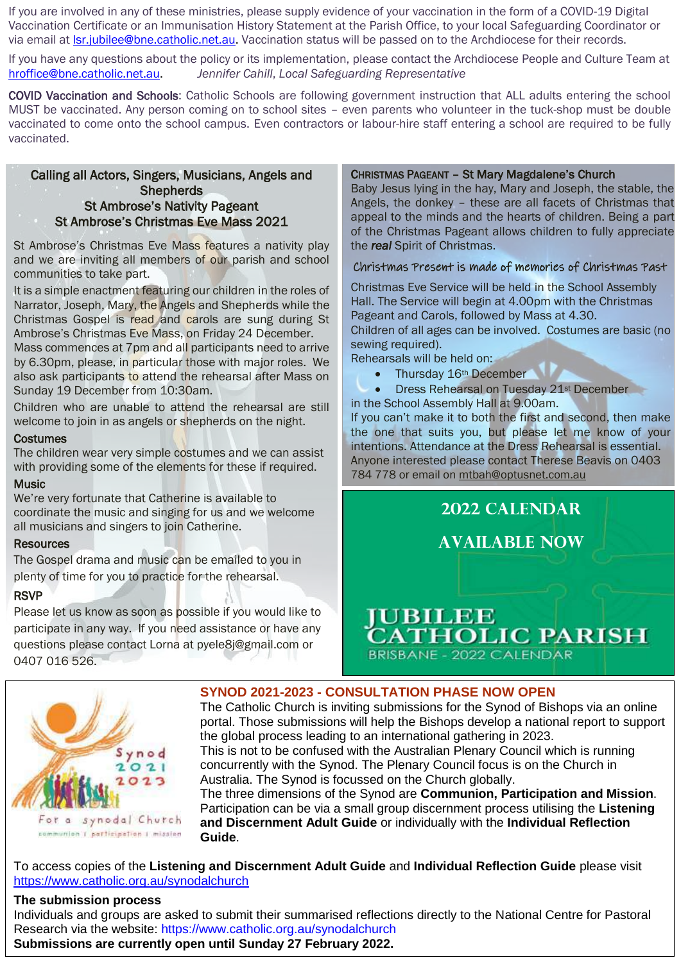If you are involved in any of these ministries, please supply evidence of your vaccination in the form of a COVID-19 Digital Vaccination Certificate or an Immunisation History Statement at the Parish Office, to your local Safeguarding Coordinator or via email a[t lsr.jubilee@bne.catholic.net.au.](mailto:lsr.jubilee@bne.catholic.net.au) Vaccination status will be passed on to the Archdiocese for their records.

If you have any questions about the policy or its implementation, please contact the Archdiocese People and Culture Team at [hroffice@bne.catholic.net.au.](mailto:hroffice@bne.catholic.net.au) *Jennifer Cahill*, *Local Safeguarding Representative*

COVID Vaccination and Schools: Catholic Schools are following government instruction that ALL adults entering the school MUST be vaccinated. Any person coming on to school sites – even parents who volunteer in the tuck-shop must be double vaccinated to come onto the school campus. Even contractors or labour-hire staff entering a school are required to be fully vaccinated.

#### Calling all Actors, Singers, Musicians, Angels and **Shepherds** St Ambrose's Nativity Pageant St Ambrose's Christmas Eve Mass 2021

St Ambrose's Christmas Eve Mass features a nativity play and we are inviting all members of our parish and school communities to take part.

It is a simple enactment featuring our children in the roles of Narrator, Joseph, Mary, the Angels and Shepherds while the Christmas Gospel is read and carols are sung during St Ambrose's Christmas Eve Mass, on Friday 24 December.

Mass commences at 7pm and all participants need to arrive by 6.30pm, please, in particular those with major roles. We also ask participants to attend the rehearsal after Mass on Sunday 19 December from 10:30am.

Children who are unable to attend the rehearsal are still welcome to join in as angels or shepherds on the night.

#### **Costumes**

The children wear very simple costumes and we can assist with providing some of the elements for these if required.

#### **Music**

We're very fortunate that Catherine is available to coordinate the music and singing for us and we welcome all musicians and singers to join Catherine.

## **Resources**

The Gospel drama and music can be emailed to you in plenty of time for you to practice for the rehearsal.

## **RSVP**

Please let us know as soon as possible if you would like to participate in any way. If you need assistance or have any questions please contact Lorna at pyele8j@gmail.com or 0407 016 526.

# CHRISTMAS PAGEANT – St Mary Magdalene's Church

Baby Jesus lying in the hay, Mary and Joseph, the stable, the Angels, the donkey – these are all facets of Christmas that appeal to the minds and the hearts of children. Being a part of the Christmas Pageant allows children to fully appreciate the *real* Spirit of Christmas.

# Christmas Present is made of memories of Christmas Past

Christmas Eve Service will be held in the School Assembly Hall. The Service will begin at 4.00pm with the Christmas Pageant and Carols, followed by Mass at 4.30. Children of all ages can be involved. Costumes are basic (no sewing required). Rehearsals will be held on:

- - Thursday 16<sup>th</sup> December
- **•** Dress Rehearsal on Tuesday 21<sup>st</sup> December in the School Assembly Hall at 9.00am.

If you can't make it to both the first and second, then make the one that suits you, but please let me know of your intentions. Attendance at the Dress Rehearsal is essential. Anyone interested please contact Therese Beavis on 0403 784 778 or email on [mtbah@optusnet.com.au](mailto:mtbah@optusnet.com.au)





**SYNOD 2021-2023 - CONSULTATION PHASE NOW OPEN** 

The Catholic Church is inviting submissions for the Synod of Bishops via an online portal. Those submissions will help the Bishops develop a national report to support the global process leading to an international gathering in 2023. This is not to be confused with the Australian Plenary Council which is running concurrently with the Synod. The Plenary Council focus is on the Church in Australia. The Synod is focussed on the Church globally.

The three dimensions of the Synod are **Communion, Participation and Mission**. Participation can be via a small group discernment process utilising the **Listening and Discernment Adult Guide** or individually with the **Individual Reflection Guide**.

To access copies of the **Listening and Discernment Adult Guide** and **Individual Reflection Guide** please visit <https://www.catholic.org.au/synodalchurch>

## **The submission process**

Individuals and groups are asked to submit their summarised reflections directly to the National Centre for Pastoral Research via the website: https://www.catholic.org.au/synodalchurch **Submissions are currently open until Sunday 27 February 2022.**